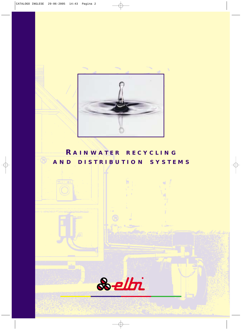

# **R AINWATER RECYCLING AND DISTRIBUTION SYSTEMS**

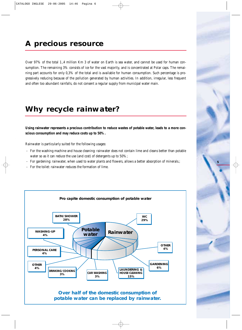# **A precious resource**

*Over 97% of the total 1.,4 million Km 3 of water on Earth is sea water, and cannot be used for human consumption. The remaining 3% consists of ice for the vast majority, and is concentrated at Polar caps. The remaining part accounts for only 0,3% of the total and is available for human consumption. Such percentage is progressively reducing because of the pollution generated by human activities. In addition, irregular, less frequent and often too abundant rainfalls, do not consent a regular supply from municipal water main.*

# **Why recycle rainwater?**

**Using rainwater represents a precious contribution to reduce wastes of potable water, leads to a more conscious consumption and may reduce costs up to 50%.**

*Rainwater is particularly suited for the following usages:*

*- For the washing machine and house cleaning: rainwater does not contain lime and cleans better than potable water so as it can reduce the use (and cost) of detergents up to 50%;*

**5**

- *For gardening: rainwater, when used to water plants and flowers, allows a better absorption of minerals.;*
- *For the toilet: rainwater reduces the formation of lime.*

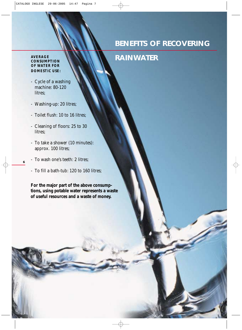# **BENEFITS OF RECOVERING**

## **RAINWATER**

## **AVERAGE CONSUMPTION OF WATER FOR DOMESTIC USE:**

- Cycle of a washing machine: 80-120 litres;
- Washing-up: 20 litres;
- Toilet flush: 10 to 16 litres;
- Cleaning of floors: 25 to 30 litres;
- To take a shower (10 minutes): approx. 100 litres;
- To wash one's teeth: 2 litres;

**6**

- To fill a bath-tub: 120 to 160 litres;

**For the major part of the above consumptions, using potable water represents a waste of useful resources and a waste of money.**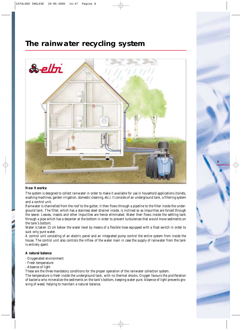## **The rainwater recycling system**



### **How it works:**

*The system is designed to collect rainwater in order to make it available for use in household applications (toilets, washing machines, garden irrigation, domestic cleaning, etc.). It consists of an underground tank, a filtering system and a control unit.*

**7**

*Rainwater is channelled from the roof to the gutter; it then flows through a pipeline to the filter inside the underground tank. The filter, which has a stainless steel strainer inside, is inclined so as impurities are forced through the sewer. Leaves, insects and other impurities are hence eliminated. Water then flows inside the settling tank through a pipe which has a decanter at the bottom in order to prevent turbulences that would move sediments on the tank's bottom.*

*Water is taken 15 cm below the water level by means of a flexible hose equipped with a float switch in order to suck only pure water.*

*A control unit consisting of an electric panel and an integrated pump control the entire system from inside the house. The control unit also controls the inflow of the water main in case the supply of rainwater from the tank is entirely spent.*

#### **A natural balance**

- *Oxygenated environment*
- *Fresh temperature*
- *Absence of light*

*These are the three mandatory conditions for the proper operation of the rainwater collection system.*

*The temperature is fresh inside the underground tank, with no thermal shocks. Oxygen favours the proliferation of bacteria who mineralize the sediments on the tank's bottom, keeping water pure. Absence of light prevents growing of weed, helping to maintain a natural balance.*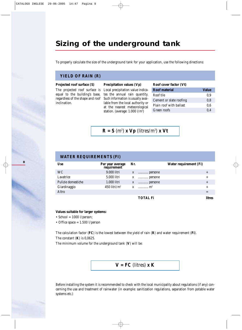## **Sizing of the underground tank**

*To properly calculate the size of the underground tank for your application, use the following directions:*

## **YIELD OF RAIN (R)**

### **Projected roof surface (S)**

*equal to the building's base, tes the annual rain quantity. regardless of the shape and roof Such information is usually avaiinclination.*

*The projected roof surface is Local precipitation value indica-***Precipitation values (Vp)** *lable from the local authority or at the nearest meteorological station. (average: 1.000 l/m2 )*

| Roof cover factor (Vt)  |       |  |  |  |  |
|-------------------------|-------|--|--|--|--|
| <b>Roof material</b>    | Value |  |  |  |  |
| Roof tile               | 0.9   |  |  |  |  |
| Cement or slate roofing | 0.8   |  |  |  |  |
| Plain roof with ballast | 0.6   |  |  |  |  |
| Green roofs             | 0.4   |  |  |  |  |

## $\mathbf{R} = \mathbf{S}$  (m<sup>2</sup>) **x**  $\mathbf{V}\mathbf{p}$  (litres/m<sup>2</sup>) **x**  $\mathbf{V}\mathbf{t}$

### **WATER REQUIREMENTS (FI)**

| <b>Use</b>         | Per year average<br>requirement | Nr. |                  | Water requirement (Fi) |        |
|--------------------|---------------------------------|-----|------------------|------------------------|--------|
| WC                 | 9.000 litri                     |     | <i>x persone</i> |                        |        |
| Lavatrice          | 5.000 litri                     |     | $X$ persone      |                        | $^{+}$ |
| Pulizie domestiche | 1.000 litri                     |     | $X$ persone      |                        | $^{+}$ |
| Giardinaggio       | 450 litri/ $m^2$                |     | $x \sim m^2$     |                        | $^{+}$ |
| Altro              |                                 |     |                  |                        |        |
|                    |                                 |     | <b>TOTAL Fi</b>  |                        | litres |

### **Values suitable for larger systems:**

- *School = 1000 l/person;*
- *Office space = 1.500 l/person*

*The calculation factor (***FC***) is the lowest between the yield of rain (***R***) and water requirement (***Fi***). The constant (***K***) is 0,0625.*

*The minimum volume for the underground tank (***V***) will be:*

 $V = FC$  (litres)  $x K$ 

*Before installing the system it is recommended to check with the local municipality about regulations (if any) concerning the use and treatment of rainwater (in example: sanitization regulations, separation from potable water systems etc.)*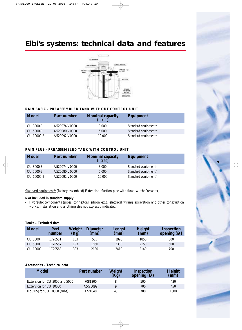# **Elbi's systems: technical data and features**



## **RAIN BASIC – PREASSEMBLED TANK WITHOUT CONTROL UNIT**

| <b>Model</b>      | <b>Part number</b> | Nominal capacity<br>(litres) | <b>Equipment</b>    |
|-------------------|--------------------|------------------------------|---------------------|
| <i>CU 3000-B</i>  | A520074 V0000      | <i>3.000</i>                 | Standard equipment* |
| <i>CU 5000-B</i>  | A520080 V0000      | 5.000                        | Standard equipment* |
| <b>CU 10000-B</b> | A520092 V0000      | 10.000                       | Standard equipment* |

## **RAIN PLUS – PREASSEMBLED TANK WITH CONTROL UNIT**

| <b>Model</b>      | <b>Part number</b> | Nominal capacity<br>(litres) | <b>Equipment</b>    |
|-------------------|--------------------|------------------------------|---------------------|
| <i>CU 3000-B</i>  | A520074 V0000      | <i>3.000</i>                 | Standard equipment* |
| <i>CU 5000-B</i>  | A520080 V0000      | 5.000                        | Standard equipment* |
| <b>CU 10000-B</b> | A520092 V0000      | <i>10.000</i>                | Standard equipment* |

**9**

*Standard equipment\*: (factory-assembled) Extension; Suction pipe with float switch; Decanter;*

## **Not included in standard supply:**

*- Hydraulic components (pipes, connectors, silicon etc.), electrical wiring, excavation and other construction works, installation and anything else not expressly indicated.*

### **Tanks – Technical data**

| <b>Model</b>    | Part<br>number | Weight<br>(Kg) | <b>Diameter</b><br>$(\mathbf{mm})$ | Lenght<br>$(\mathbf{mm})$ | <b>Height</b><br>$(\mathbf{mm})$ | Inspection<br>opening $(\emptyset)$ |
|-----------------|----------------|----------------|------------------------------------|---------------------------|----------------------------------|-------------------------------------|
| <i>CU 3000</i>  | 1720551        | 133            | 585                                | 1920                      | 1850                             | 500                                 |
| <i>CU 5000</i>  | 1720557        | 193            | 1860                               | <i>2380</i>               | 2150                             | 500                                 |
| <i>CU 10000</i> | 1720563        | 383            | <i>2130</i>                        | 3410                      | 2140                             | 700                                 |

## **Accessories – Technical data**

| <b>Model</b>                   | <b>Part number</b> | Weight<br>(Kg) | <b>Inspection</b><br>opening $(\emptyset)$ | <b>Height</b><br>(mm) |
|--------------------------------|--------------------|----------------|--------------------------------------------|-----------------------|
| Extension for CU 3000 and 5000 | 7081200            |                | <i>500</i>                                 | 430                   |
| Extension for CU 10000         | <i>A5G0092</i>     |                | 700                                        | 450                   |
| Housing for CU 10000 (cube)    | 1721040            | 45             | 700                                        | 1000                  |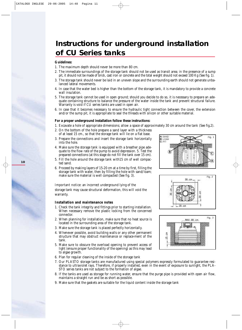# **Instructions for underground installation of CU Series tanks**

#### **Guidelines:**

- *1. The maximum depth should never be more than 80 cm.*
- *2. The immediate surroundings of the storage tank should not be used as transit area; in the presence of a sump pit, it should not be made of brick, cast iron or concrete and the total weight should not exceed 100 Kg (See fig. 1).*
- *3. The storage tank should never be laid in an uneven slope and the surrounding earth should not generate unbalanced lateral movements.*
- *4. In case that the water bed is higher than the bottom of the storage tank, it is mandatory to provide a concrete wall insulation.*
- *5. The storage tank cannot be used in open ground; should you decide to do so, it is necessary to prepare an adequate containing structure to balance the pressure of the water inside the tank and prevent structural failure. Warranty is void if CU series tanks are used in open air.*
- *6. In case that it becomes necessary to ensure the hydraulic tight connection between the cover, the extension and/or the sump pit, it is appropriate to seal the threads with silicon or other suitable material.*

#### **For a proper underground installation follow these instructions:**

- *1. Excavate a hole of appropriate dimensions; allow a space of approximately 30 cm around the tank (See fig.2).*
- *2. On the bottom of the hole prepare a sand layer with a thickness*
- *of at least 15 cm., so that the storage tank will lie on a flat base. 3. Prepare the connections and insert the storage tank horizontally into the hole.*
- *4. Make sure the storage tank is equipped with a breather pipe adequate to the flow rate of the pump to avoid depression. 5. Test the prepared connections (at this stage do not fill the tank over 15 cm).*
- *5. Fill the hole around the storage tank with15 cm of well compacted sand.*
- *6. Proceed by making layers of 15-20 cm at a time by first, filling the storage tank with water, then by filling the hole with sand/loam; make sure the material is well compacted (See fig. 3).*

*Important notice: an incorrect underground lying of the storage tank may cause structural deformation, this will void the warranty.*

#### **Installation and maintenance notes Installation and maintenance notes**

- *1. Check the tank integrity and fittings prior to starting installation. When necessary remove the plastic locking from the concerned connector.*
- *2. When planning for installation, make sure that no heat source is located in the surrounding area of the storage tank.*
- *3. Make sure the storage tank is placed perfectly horizontally.*
- *4. Whenever possible, avoid building walls or any other permanent structure that may obstruct maintenance or replace-ment of the tank.*
- *5. Make sure to obscure the overload opening to prevent access of light (ensure proper functionality of the opening) as this may lead to algae growth.*
- *6. Plan for regular cleaning of the inside of the storage tank*
- *7. Our PLASTO storage tanks are manufactured using special polymers expressly formulated to guarantee resistance to ultraviolet rays. Therefore, if properly installed, even in the event of exposure to sunlight, the PLA-STO series tanks are not subject to the formation of algae.*
- *8. If the tanks are used as storage for running water, ensure that the purge pipe is provided with open air flow, maintains a straight run and be as short as possible.*
- *9. Make sure that the gaskets are suitable for the liquid content inside the storage tank*





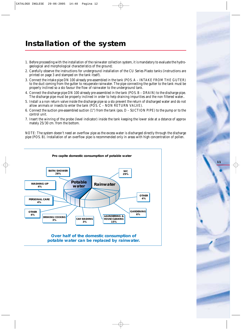# **Installation of the system**

- *1. Before proceeding with the installation of the rainwater collection system, it is mandatory to evaluate the hydrogeological and morphological characteristics of the ground;*
- *2. Carefully observe the instructions for underground installation of the CU Series Plasto tanks (instructions are printed on page 3 and stamped on the tank itself).*
- *3. Connect the intake pipe DN 100 already pre-assembled in the tank (POS. A INTAKE FROM THE GUTER) to the duct coming from the gutter to recuperate rainwater. The pipe connecting the gutter to the tank must be properly inclined so a sto favour the flow of rainwater to the underground tank.*
- *4. Connect the discharge pipe DN 100 already pre-assembled in the tank (POS. B DRAIN) to the discharge pipe. The discharge pipe must be properly inclined in order to help draining impurities and the non filtered water..*
- *5. Install a a non return valve inside the discharge pipe so a sto prevent the return of discharged water and do not allow animals or insects to enter the tank (POS. C – NON RETURN VALVE).*
- *6. Connect the suction pre-assembled suction (1") from the tank (pos. D SUCTION PIPE) to the pump or to the control unit.*
- *7. Insert the winring of the probe (level indicator) inside the tank keeping the lower side at a dstance of approx mately 25/30 cm. from the bottom.*

*NOTE: The system doesn't need an overflow pipe as the excess water is discharged directly through the discharge pipe (POS. B). Installation of an overflow pipe is recommended only in areas with high concentration of pollen.*

**11**



**potable water can be replaced by rainwater.**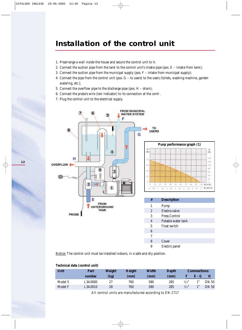## **Installation of the control unit**

- *1. Prearrange a wall inside the house and secure the control unit to it.*
- *2. Connect the suction pipe from the tank to the control unit's intake pipe (pos. E intake from tank);*
- *3. Connect the suction pipe from the municipal supply (pos. F intake from municipal supply);*
- *4. Connect the pipe from the control unit (pos. G to users) to the users (toilets, washing machine, garden watering, etc.);*
- *5. Connect the overflow pipe to the discharge pipe (pos. H drain);*
- *6. Connect the probe's wire (levl indicator) to its connection at the contr .*
- *7. Plug the control unit to the electrical supply.*



*Notice: The control unit must be installed indoors, in a safe and dry position.*

| Technical data (control unit) |  |  |  |
|-------------------------------|--|--|--|
|-------------------------------|--|--|--|

| Unit    | Part           | Weight | <b>Height</b> | Width | Depth                  |      | <b>Commections:</b> |         |
|---------|----------------|--------|---------------|-------|------------------------|------|---------------------|---------|
|         | number         | (kg)   | (mm)          | (mm)  | $\mathbf{m}\mathbf{m}$ |      | E - G               | Н       |
| Model S | <i>L3A0000</i> | 27     | 760           | 580   | 285                    | 1/2" |                     | DN 50   |
| Model F | <i>L3A0010</i> | 28     | 760           | 580   | 285                    | 1/2" | 1, 22               | $DN$ 50 |

*All control units are manufactured according to EN-1717*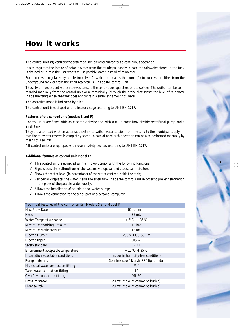# **How it works**

*The control unit (9) controls the system's functions and guarantees a continuous operation.*

*It also regulates the intake of potable water from the municipal supply in case the rainwater stored in the tank is drained or in case the user wants to use potable water instead of rainwater.*

*Such process is regulated by an electro-valve (2) which commands the pump (1) to suck water either from the underground tank or from the small reservoir (4) inside the control unit.*

*These two independent water reserves censure the continuous operation of the system. The switch can be commanded manually from the control unit or automatically (through the probe that senses the level of rainwater inside the tank) when the tank does not contain a sufficient amount of water.*

*The operative mode is indicated by a led.*

*The control unit is equipped with a free drainage according to UNI EN 1717.*

### **Features of the control unit (models S and F):**

*Control units are fitted with an electronic device and with a multi stage inoxidizable centrifugal pump and a small tank.*

*They are also fitted with an automatic system to switch water suction from the tank to the municipal supply in case the rainwater reserve is completely spent. In case of need such operation can be also performed manually by means of a switch.*

*All control units are equipped with several safety devices according to UNI EN 1717.*

## **Additional features of control unit model F:**

- √ *This control unit is equipped with a microprocessor with the following functions:*
- √ *Signals possible malfunctions of the systems via optical and acoustical indicators;*
- √ *Shows the water level (in percentage) of the water content inside the tank;*
- √ *Periodically replaces the water inside the small tank inside the control unit in order to prevent stagnation in the pipes of the potable water supply;*

**13**

- √ *Allows the installation of an additional water pump;*
- √ *Allows the connection to the serial port of a personal computer;*

| Technical features of the control units (Models S and Model F) |                                         |
|----------------------------------------------------------------|-----------------------------------------|
| Max Flow Rate                                                  | $65$ lt. /min.                          |
| Head                                                           | 36 mt.                                  |
| Water Temperature range                                        | $+5^{\circ}C - +35^{\circ}C$            |
| <b>Maximum Working Pressure</b>                                | 10 <sub>bar</sub>                       |
| Maximum static pressure                                        | $18$ mt.                                |
| <b>Electric Output</b>                                         | 230 V AC / 50 Hz                        |
| Electric Input                                                 | 805 W                                   |
| Safety standard                                                | IP42                                    |
| Environment acceptable temperature                             | $+ 15^{\circ}C - + 35^{\circ}C$         |
| Installation acceptable conditions                             | Indoor in humidity-free conditions      |
| Pump materials                                                 | Stainless steel/ Noryl/ PP/ light metal |
| Municipal water connection fitting                             | 3/4"                                    |
| Tank water connection fitting                                  | 1"                                      |
| Overflow connection fitting                                    | <b>DN 50</b>                            |
| Pressure sensor                                                | 20 mt (the wire cannot be buried)       |
| <b>Float switch</b>                                            | 20 mt (the wire cannot be buried)       |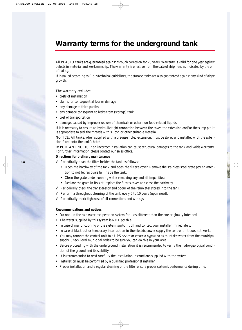## **Warranty terms for the underground tank**

*All PLASTO tanks are guaranteed against through corrosion for 20 years. Warranty is valid for one year against defects in material and workmanship. The warranty is effective from the date of shipment as indicated by the bill of lading.*

*If installed according to Elbi's technical guidelines, the storage tanks are also guaranteed against any kind of algae growth.*

*The warranty excludes:*

- *costs of installation*
- *claims for consequential loss or damage*
- *any damage to third parties*
- *any damage consequent to leaks from (storage) tank*
- *cost of transportation*
- *damages caused by improper us, use of chemicals or other non food-related liquids.*

*If it is necessary to ensure an hydraulic tight connection between the cover, the extension and/or the sump pit, it is appropriate to seal the threads with silicon or other suitable material.*

*NOTICE: All tanks, when supplied with a pre-assembled extension, must be stored and installed with the extension fixed onto the tank's hatch.*

*IMPORTANT NOTICE: an incorrect installation can cause structural damages to the tank and voids warranty. For further information please contact our sales office.*

### **Directions for ordinary maintenance**

- √ *Periodically clean the filter insider the tank as follows:*
	- *Open the hatchway of the tank and open the filter's cover. Remove the stainless steel grate paying attention to not let residuals fall inside the tank;*
	- *Clean the grate under running water removing any and all impurities;*
	- *Replace the grate in its slot, replace the filter's cover and close the hatchway.*
- √ *Periodically check the transparency and odour of the rainwater stored into the tank.*
- √ *Perform a throughout cleaning of the tank every 5 to 10 years (upon need).*
- √ *Periodically check tightness of all connections and wirings.*

#### **Recommendations and notices:**

- *Do not use the rainwater recuperation system for uses different than the one originally intended.*
- *The water supplied by this system is NOT potable.*
- *In case of malfunctioning of the system, switch it off and contact your installer immediately.*
- *In case of black-out or temporary interruption in the electric power supply the control unit does not work.*
- *You may connect the control unit to a UPS device or create a bypass so as to intake water from the municipal supply. Check local municipal codes to be sure you can do this in your area.*
- *Before proceeding with the underground installation it is recommended to verify the hydro-geological condition of the ground and its stability.*
- *It is recommended to read carefully the installation instructions supplied with the system.*
- *Installation must be performed by a qualified professional installer.*
- *Proper installation and e regular cleaning of the filter ensure proper system's performance during time.*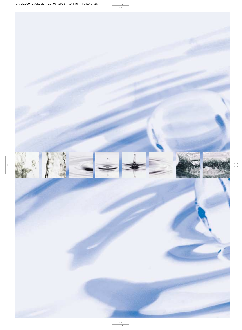